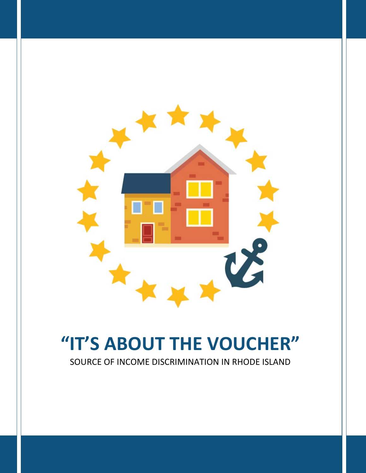

# **"IT'S ABOUT THE VOUCHER"**

SOURCE OF INCOME DISCRIMINATION IN RHODE ISLAND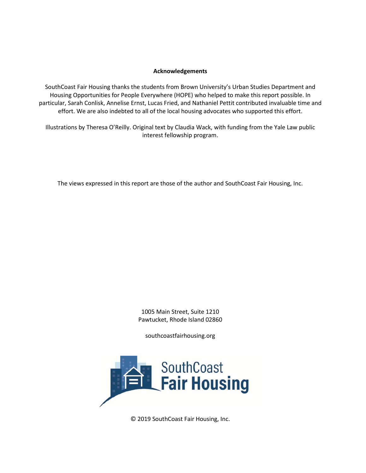#### **Acknowledgements**

SouthCoast Fair Housing thanks the students from Brown University's Urban Studies Department and Housing Opportunities for People Everywhere (HOPE) who helped to make this report possible. In particular, Sarah Conlisk, Annelise Ernst, Lucas Fried, and Nathaniel Pettit contributed invaluable time and effort. We are also indebted to all of the local housing advocates who supported this effort.

Illustrations by Theresa O'Reilly. Original text by Claudia Wack, with funding from the Yale Law public interest fellowship program.

The views expressed in this report are those of the author and SouthCoast Fair Housing, Inc.

1005 Main Street, Suite 1210 Pawtucket, Rhode Island 02860

southcoastfairhousing.org



© 2019 SouthCoast Fair Housing, Inc.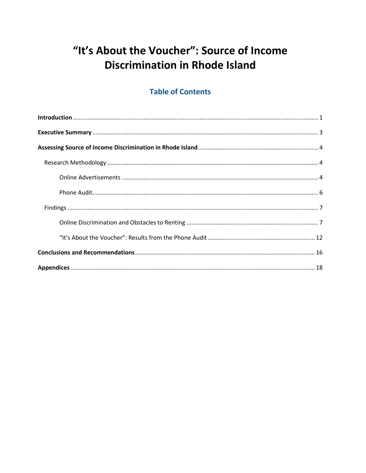# "It's About the Voucher": Source of Income **Discrimination in Rhode Island**

# **Table of Contents**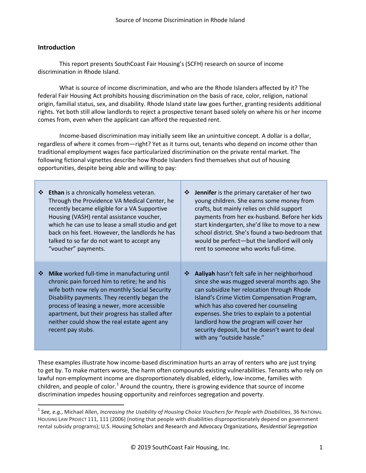#### **Introduction**

This report presents SouthCoast Fair Housing's (SCFH) research on source of income discrimination in Rhode Island.

What is source of income discrimination, and who are the Rhode Islanders affected by it? The federal Fair Housing Act prohibits housing discrimination on the basis of race, color, religion, national origin, familial status, sex, and disability. Rhode Island state law goes further, granting residents additional rights. Yet both still allow landlords to reject a prospective tenant based solely on where his or her income comes from, even when the applicant can afford the requested rent.

Income-based discrimination may initially seem like an unintuitive concept. A dollar is a dollar, regardless of where it comes from—right? Yet as it turns out, tenants who depend on income other than traditional employment wages face particularized discrimination on the private rental market. The following fictional vignettes describe how Rhode Islanders find themselves shut out of housing opportunities, despite being able and willing to pay:

| ❖ | Ethan is a chronically homeless veteran.<br>Through the Providence VA Medical Center, he<br>recently became eligible for a VA Supportive<br>Housing (VASH) rental assistance voucher,<br>which he can use to lease a small studio and get<br>back on his feet. However, the landlords he has<br>talked to so far do not want to accept any<br>"voucher" payments.     | ❖  | Jennifer is the primary caretaker of her two<br>young children. She earns some money from<br>crafts, but mainly relies on child support<br>payments from her ex-husband. Before her kids<br>start kindergarten, she'd like to move to a new<br>school district. She's found a two-bedroom that<br>would be perfect-but the landlord will only<br>rent to someone who works full-time.                         |
|---|-----------------------------------------------------------------------------------------------------------------------------------------------------------------------------------------------------------------------------------------------------------------------------------------------------------------------------------------------------------------------|----|---------------------------------------------------------------------------------------------------------------------------------------------------------------------------------------------------------------------------------------------------------------------------------------------------------------------------------------------------------------------------------------------------------------|
| ❖ | Mike worked full-time in manufacturing until<br>chronic pain forced him to retire; he and his<br>wife both now rely on monthly Social Security<br>Disability payments. They recently began the<br>process of leasing a newer, more accessible<br>apartment, but their progress has stalled after<br>neither could show the real estate agent any<br>recent pay stubs. | ∙⊱ | Aaliyah hasn't felt safe in her neighborhood<br>since she was mugged several months ago. She<br>can subsidize her relocation through Rhode<br>Island's Crime Victim Compensation Program,<br>which has also covered her counseling<br>expenses. She tries to explain to a potential<br>landlord how the program will cover her<br>security deposit, but he doesn't want to deal<br>with any "outside hassle." |

These examples illustrate how income-based discrimination hurts an array of renters who are just trying to get by. To make matters worse, the harm often compounds existing vulnerabilities. Tenants who rely on lawful non-employment income are disproportionately disabled, elderly, low-income, families with children, and people of color.<sup>[1](#page-3-0)</sup> Around the country, there is growing evidence that source of income discrimination impedes housing opportunity and reinforces segregation and poverty.

<span id="page-3-0"></span> <sup>1</sup> *See, e.g.*, Michael Allen, *Increasing the Usability of Housing Choice Vouchers for People with Disabilities*, 36 NATIONAL HOUSING LAW PROJECT 111, 111 (2006) (noting that people with disabilities disproportionately depend on government rental subsidy programs); U.S. Housing Scholars and Research and Advocacy Organizations, *Residential Segregation*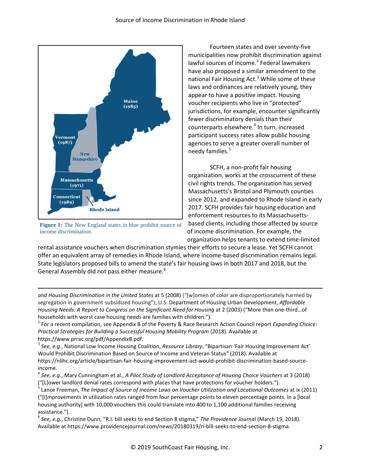

**Figure 1:** The New England states in blue prohibit source of income discrimination.

 $\overline{a}$ 

Fourteen states and over seventy-five municipalities now prohibit discrimination against lawful sources of income.<sup>[2](#page-4-0)</sup> Federal lawmakers have also proposed a similar amendment to the national Fair Housing Act.<sup>[3](#page-4-1)</sup> While some of these laws and ordinances are relatively young, they appear to have a positive impact. Housing voucher recipients who live in "protected" jurisdictions, for example, encounter significantly fewer discriminatory denials than their counterparts elsewhere. [4](#page-4-2) In turn, increased participant success rates allow public housing agencies to serve a greater overall number of needy families.<sup>[5](#page-4-3)</sup>

SCFH, a non-profit fair housing organization, works at the crosscurrent of these civil rights trends. The organization has served Massachusetts's Bristol and Plymouth counties since 2012, and expanded to Rhode Island in early 2017. SCFH provides fair housing education and enforcement resources to its Massachusettsbased clients, including those affected by source of income discrimination. For example, the organization helps tenants to extend time-limited

rental assistance vouchers when discrimination stymies their efforts to secure a lease. Yet SCFH cannot offer an equivalent array of remedies in Rhode Island, where income-based discrimination remains legal. State legislators proposed bills to amend the state's fair housing laws in both 2017 and 2018, but the General Assembly did not pass either measure.<sup>[6](#page-4-4)</sup>

*and Housing Discrimination in the United States* at 5 (2008) ("[w]omen of color are disproportionately harmed by segregation in government-subsidized housing"); U.S. Department of Housing Urban Development, *Affordable Housing Needs: A Report to Congress on the Significant Need for Housing* at 2 (2003) ("More than one-third…of

<span id="page-4-0"></span>households with worst case housing needs are families with children.").<br><sup>2</sup> For a recent compilation, see Appendix B of the Poverty & Race Research Action Council report *Expanding Choice: Practical Strategies for Building a Successful Housing Mobility Program* (2018). Available at

<span id="page-4-1"></span>https://www.prrac.org/pdf/AppendixB.pdf.<br><sup>3</sup> See, e.g., National Low Income Housing Coalition, *Resource Library*, "Bipartisan 'Fair Housing Improvement Act' Would Prohibit Discrimination Based on Source of Income and Veteran Status*"* (2018). Available at https://nlihc.org/article/bipartisan-fair-housing-improvement-act-would-prohibit-discrimination-based-source-

<span id="page-4-2"></span>income.<br><sup>4</sup> See, e.g., Mary Cunningham et al., *A Pilot Study of Landlord Acceptance of Housing Choice Vouchers* at 3 (2018) ("[L]ower landlord denial rates correspond with places that have protections for voucher holders.").<br><sup>5</sup> Lance Freeman, *The Impact of Source of Income Laws on Voucher Utilization and Locational Outcomes at ix (2011)* 

<span id="page-4-3"></span>("[I]mprovements in utilization rates ranged from four percentage points to eleven percentage points. In a [local housing authority] with 10,000 vouchers this could translate into 400 to 1,100 additional families receiving assistance.").

<span id="page-4-4"></span><sup>6</sup> *See, e.g.*, Christine Dunn, "R.I. bill seeks to end Section 8 stigma," *The Providence Journal* (March 19, 2018). Available at https://www.providencejournal.com/news/20180319/ri-bill-seeks-to-end-section-8-stigma.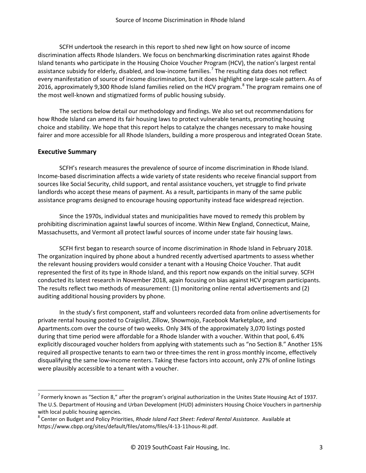SCFH undertook the research in this report to shed new light on how source of income discrimination affects Rhode Islanders. We focus on benchmarking discrimination rates against Rhode Island tenants who participate in the Housing Choice Voucher Program (HCV), the nation's largest rental assistance subsidy for elderly, disabled, and low-income families.<sup>[7](#page-5-0)</sup> The resulting data does not reflect every manifestation of source of income discrimination, but it does highlight one large-scale pattern. As of 2016, approximately 9,300 Rhode Island families relied on the HCV program.<sup>[8](#page-5-1)</sup> The program remains one of the most well-known and stigmatized forms of public housing subsidy.

The sections below detail our methodology and findings. We also set out recommendations for how Rhode Island can amend its fair housing laws to protect vulnerable tenants, promoting housing choice and stability. We hope that this report helps to catalyze the changes necessary to make housing fairer and more accessible for all Rhode Islanders, building a more prosperous and integrated Ocean State.

#### **Executive Summary**

SCFH's research measures the prevalence of source of income discrimination in Rhode Island. Income-based discrimination affects a wide variety of state residents who receive financial support from sources like Social Security, child support, and rental assistance vouchers, yet struggle to find private landlords who accept these means of payment. As a result, participants in many of the same public assistance programs designed to encourage housing opportunity instead face widespread rejection.

Since the 1970s, individual states and municipalities have moved to remedy this problem by prohibiting discrimination against lawful sources of income. Within New England, Connecticut, Maine, Massachusetts, and Vermont all protect lawful sources of income under state fair housing laws.

SCFH first began to research source of income discrimination in Rhode Island in February 2018. The organization inquired by phone about a hundred recently advertised apartments to assess whether the relevant housing providers would consider a tenant with a Housing Choice Voucher. That audit represented the first of its type in Rhode Island, and this report now expands on the initial survey. SCFH conducted its latest research in November 2018, again focusing on bias against HCV program participants. The results reflect two methods of measurement: (1) monitoring online rental advertisements and (2) auditing additional housing providers by phone.

In the study's first component, staff and volunteers recorded data from online advertisements for private rental housing posted to Craigslist, Zillow, Showmojo, Facebook Marketplace, and Apartments.com over the course of two weeks. Only 34% of the approximately 3,070 listings posted during that time period were affordable for a Rhode Islander with a voucher. Within that pool, 6.4% explicitly discouraged voucher holders from applying with statements such as "no Section 8." Another 15% required all prospective tenants to earn two or three-times the rent in gross monthly income, effectively disqualifying the same low-income renters. Taking these factors into account, only 27% of online listings were plausibly accessible to a tenant with a voucher.

<span id="page-5-0"></span> $^7$  Formerly known as "Section 8," after the program's original authorization in the Unites State Housing Act of 1937. The U.S. Department of Housing and Urban Development (HUD) administers Housing Choice Vouchers in partnership with local public housing agencies.<br><sup>8</sup> Center on Budget and Policy Priorities, *Rhode Island Fact Sheet: Federal Rental Assistance*. Available at

<span id="page-5-1"></span>https://www.cbpp.org/sites/default/files/atoms/files/4-13-11hous-RI.pdf.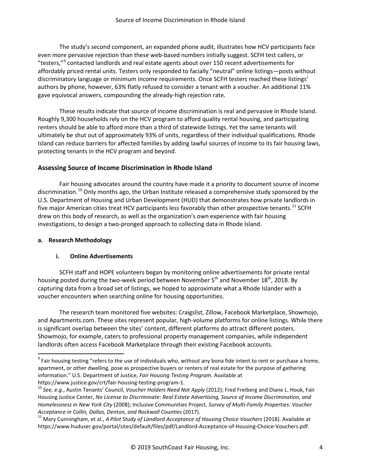The study's second component, an expanded phone audit, illustrates how HCV participants face even more pervasive rejection than these web-based numbers initially suggest. SCFH test callers, or "testers,"<sup>[9](#page-6-0)</sup> contacted landlords and real estate agents about over 150 recent advertisements for affordably priced rental units. Testers only responded to facially "neutral" online listings—posts without discriminatory language or minimum income requirements. Once SCFH testers reached these listings' authors by phone, however, 63% flatly refused to consider a tenant with a voucher. An additional 11% gave equivocal answers, compounding the already-high rejection rate.

These results indicate that source of income discrimination is real and pervasive in Rhode Island. Roughly 9,300 households rely on the HCV program to afford quality rental housing, and participating renters should be able to afford more than a third of statewide listings. Yet the same tenants will ultimately be shut out of approximately 93% of units, regardless of their individual qualifications. Rhode Island can reduce barriers for affected families by adding lawful sources of income to its fair housing laws, protecting tenants in the HCV program and beyond.

#### **Assessing Source of Income Discrimination in Rhode Island**

Fair housing advocates around the country have made it a priority to document source of income discrimination.<sup>[10](#page-6-1)</sup> Only months ago, the Urban Institute released a comprehensive study sponsored by the U.S. Department of Housing and Urban Development (HUD) that demonstrates how private landlords in five major American cities treat HCV participants less favorably than other prospective tenants.<sup>[11](#page-6-2)</sup> SCFH drew on this body of research, as well as the organization's own experience with fair housing investigations, to design a two-pronged approach to collecting data in Rhode Island.

#### **a. Research Methodology**

#### **i. Online Advertisements**

SCFH staff and HOPE volunteers began by monitoring online advertisements for private rental housing posted during the two-week period between November 5<sup>th</sup> and November 18<sup>th</sup>, 2018. By capturing data from a broad set of listings, we hoped to approximate what a Rhode Islander with a voucher encounters when searching online for housing opportunities.

The research team monitored five websites: Craigslist, Zillow, Facebook Marketplace, Showmojo, and Apartments.com. These sites represent popular, high-volume platforms for online listings. While there is significant overlap between the sites' content, different platforms do attract different posters. Showmojo, for example, caters to professional property management companies, while independent landlords often access Facebook Marketplace through their existing Facebook accounts.

<span id="page-6-0"></span> $9$  Fair housing testing "refers to the use of individuals who, without any bona fide intent to rent or purchase a home, apartment, or other dwelling, pose as prospective buyers or renters of real estate for the purpose of gathering information." U.S. Department of Justice, *Fair Housing Testing Program*. Available at https://www.justice.gov/crt/fair-housing-testing-program-1.<br><sup>10</sup> See, e.g., Austin Tenants' Council, *Voucher Holders Need Not Apply* (2012); Fred Freiberg and Diane L. Houk, Fair

<span id="page-6-1"></span>Housing Justice Center, *No License to Discriminate: Real Estate Advertising, Source of Income Discrimination, and Homelessness in New York City* (2008); Inclusive Communities Project, *Survey of Multi-Family Properties: Voucher* 

<span id="page-6-2"></span>*Acceptance in Collin, Dallas, Denton, and Rockwall Counties* (2017). <sup>11</sup> Mary Cunningham, et al., *<sup>A</sup> Pilot Study of Landlord Acceptance of Housing Choice Vouchers* (2018). Available at https://www.huduser.gov/portal/sites/default/files/pdf/Landlord-Acceptance-of-Housing-Choice-Vouchers.pdf.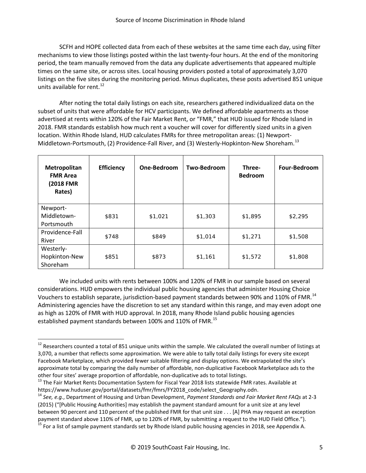SCFH and HOPE collected data from each of these websites at the same time each day, using filter mechanisms to view those listings posted within the last twenty-four hours. At the end of the monitoring period, the team manually removed from the data any duplicate advertisements that appeared multiple times on the same site, or across sites. Local housing providers posted a total of approximately 3,070 listings on the five sites during the monitoring period. Minus duplicates, these posts advertised 851 unique units available for rent.<sup>[12](#page-7-0)</sup>

After noting the total daily listings on each site, researchers gathered individualized data on the subset of units that were affordable for HCV participants. We defined affordable apartments as those advertised at rents within 120% of the Fair Market Rent, or "FMR," that HUD issued for Rhode Island in 2018. FMR standards establish how much rent a voucher will cover for differently sized units in a given location. Within Rhode Island, HUD calculates FMRs for three metropolitan areas: (1) Newport-Middletown-Portsmouth, (2) Providence-Fall River, and (3) Westerly-Hopkinton-New Shoreham.<sup>[13](#page-7-0)</sup>

| Metropolitan<br><b>FMR Area</b><br>(2018 FMR<br>Rates) | <b>Efficiency</b> | One-Bedroom | Two-Bedroom | Three-<br><b>Bedroom</b> | <b>Four-Bedroom</b> |
|--------------------------------------------------------|-------------------|-------------|-------------|--------------------------|---------------------|
| Newport-                                               |                   |             |             |                          |                     |
| Middletown-                                            | \$831             | \$1,021     | \$1,303     | \$1,895                  | \$2,295             |
| Portsmouth                                             |                   |             |             |                          |                     |
| Providence-Fall                                        | \$748             | \$849       | \$1,014     | \$1,271                  |                     |
| River                                                  |                   |             |             |                          | \$1,508             |
| Westerly-                                              |                   |             |             |                          |                     |
| Hopkinton-New                                          | \$851             | \$873       | \$1,161     | \$1,572                  | \$1,808             |
| Shoreham                                               |                   |             |             |                          |                     |

We included units with rents between 100% and 120% of FMR in our sample based on several considerations. HUD empowers the individual public housing agencies that administer Housing Choice Vouchers to establish separate, jurisdiction-based payment standards between 90% and 110% of FMR.<sup>[14](#page-7-0)</sup> Administering agencies have the discretion to set any standard within this range, and may even adopt one as high as 120% of FMR with HUD approval. In 2018, many Rhode Island public housing agencies established payment standards between 100% and 110% of FMR.<sup>[15](#page-7-0)</sup>

<span id="page-7-0"></span> $12$  Researchers counted a total of 851 unique units within the sample. We calculated the overall number of listings at 3,070, a number that reflects some approximation. We were able to tally total daily listings for every site except Facebook Marketplace, which provided fewer suitable filtering and display options. We extrapolated the site's approximate total by comparing the daily number of affordable, non-duplicative Facebook Marketplace ads to the other four sites' average proportion of affordable, non-duplicative ads to total listings.<br><sup>13</sup> The Fair Market Rents Documentation System for Fiscal Year 2018 lists statewide FMR rates. Available at

https://www.huduser.gov/portal/datasets/fmr/fmrs/FY2018\_code/select\_Geography.odn. <sup>14</sup> *See, e.g.*, Department of Housing and Urban Development, *Payment Standards and Fair Market Rent FAQs* at 2-3 (2015) ("[Public Housing Authorities] may establish the payment standard amount for a unit size at any level between 90 percent and 110 percent of the published FMR for that unit size . . . [A] PHA may request an exception payment standard above 110% of FMR, up to 120% of FMR, by submitting a request to the HUD Field Office."). <sup>15</sup> For a list of sample payment standards set by Rhode Island public housing agencies in 2018, see Appendix A.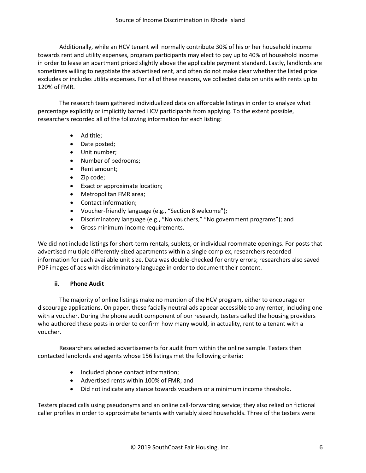Additionally, while an HCV tenant will normally contribute 30% of his or her household income towards rent and utility expenses, program participants may elect to pay up to 40% of household income in order to lease an apartment priced slightly above the applicable payment standard. Lastly, landlords are sometimes willing to negotiate the advertised rent, and often do not make clear whether the listed price excludes or includes utility expenses. For all of these reasons, we collected data on units with rents up to 120% of FMR.

The research team gathered individualized data on affordable listings in order to analyze what percentage explicitly or implicitly barred HCV participants from applying. To the extent possible, researchers recorded all of the following information for each listing:

- Ad title;
- Date posted;
- Unit number;
- Number of bedrooms;
- Rent amount;
- Zip code;
- Exact or approximate location;
- Metropolitan FMR area;
- Contact information;
- Voucher-friendly language (e.g., "Section 8 welcome");
- Discriminatory language (e.g., "No vouchers," "No government programs"); and
- Gross minimum-income requirements.

We did not include listings for short-term rentals, sublets, or individual roommate openings. For posts that advertised multiple differently-sized apartments within a single complex, researchers recorded information for each available unit size. Data was double-checked for entry errors; researchers also saved PDF images of ads with discriminatory language in order to document their content.

#### **ii. Phone Audit**

The majority of online listings make no mention of the HCV program, either to encourage or discourage applications. On paper, these facially neutral ads appear accessible to any renter, including one with a voucher. During the phone audit component of our research, testers called the housing providers who authored these posts in order to confirm how many would, in actuality, rent to a tenant with a voucher.

Researchers selected advertisements for audit from within the online sample. Testers then contacted landlords and agents whose 156 listings met the following criteria:

- Included phone contact information;
- Advertised rents within 100% of FMR; and
- Did not indicate any stance towards vouchers or a minimum income threshold.

Testers placed calls using pseudonyms and an online call-forwarding service; they also relied on fictional caller profiles in order to approximate tenants with variably sized households. Three of the testers were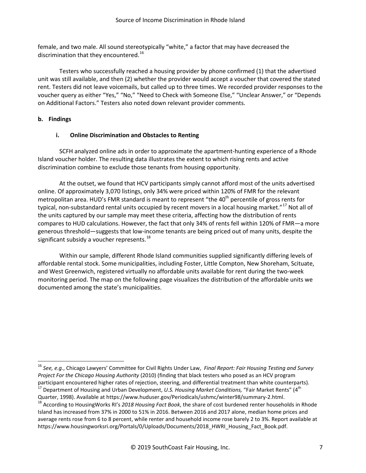female, and two male. All sound stereotypically "white," a factor that may have decreased the discrimination that they encountered.<sup>[16](#page-9-0)</sup>

Testers who successfully reached a housing provider by phone confirmed (1) that the advertised unit was still available, and then (2) whether the provider would accept a voucher that covered the stated rent. Testers did not leave voicemails, but called up to three times. We recorded provider responses to the voucher query as either "Yes," "No," "Need to Check with Someone Else," "Unclear Answer," or "Depends on Additional Factors." Testers also noted down relevant provider comments.

#### **b. Findings**

#### **i. Online Discrimination and Obstacles to Renting**

SCFH analyzed online ads in order to approximate the apartment-hunting experience of a Rhode Island voucher holder. The resulting data illustrates the extent to which rising rents and active discrimination combine to exclude those tenants from housing opportunity.

At the outset, we found that HCV participants simply cannot afford most of the units advertised online. Of approximately 3,070 listings, only 34% were priced within 120% of FMR for the relevant metropolitan area. HUD's FMR standard is meant to represent "the 40<sup>th</sup> percentile of gross rents for typical, non-substandard rental units occupied by recent movers in a local housing market."<sup>[17](#page-9-1)</sup> Not all of the units captured by our sample may meet these criteria, affecting how the distribution of rents compares to HUD calculations. However, the fact that only 34% of rents fell within 120% of FMR—a more generous threshold—suggests that low-income tenants are being priced out of many units, despite the significant subsidy a voucher represents.<sup>[18](#page-9-2)</sup>

Within our sample, different Rhode Island communities supplied significantly differing levels of affordable rental stock. Some municipalities, including Foster, Little Compton, New Shoreham, Scituate, and West Greenwich, registered virtually no affordable units available for rent during the two-week monitoring period. The map on the following page visualizes the distribution of the affordable units we documented among the state's municipalities.

<span id="page-9-0"></span> <sup>16</sup> *See, e.g.*, Chicago Lawyers' Committee for Civil Rights Under Law, *Final Report: Fair Housing Testing and Survey Project For the Chicago Housing Authority* (2010) (finding that black testers who posed as an HCV program participant encountered higher rates of rejection, steering, and differential treatment than white counterparts).<br><sup>17</sup> Department of Housing and Urban Development, *U.S. Housing Market Conditions,* "Fair Market Rents" (4<sup>t</sup>

<span id="page-9-1"></span>Quarter, 1998). Available at https://www.huduser.gov/Periodicals/ushmc/winter98/summary-2.html.<br><sup>18</sup> According to HousingWorks RI's *2018 Housing Fact Book*, the share of cost burdened renter households in Rhode

<span id="page-9-2"></span>Island has increased from 37% in 2000 to 51% in 2016. Between 2016 and 2017 alone, median home prices and average rents rose from 6 to 8 percent, while renter and household income rose barely 2 to 3%. Report available at https://www.housingworksri.org/Portals/0/Uploads/Documents/2018 HWRI\_Housing\_Fact\_Book.pdf.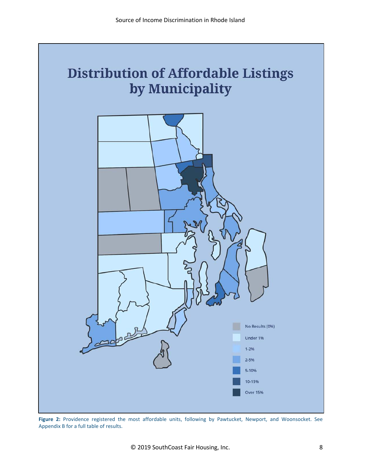

**Figure 2:** Providence registered the most affordable units, following by Pawtucket, Newport, and Woonsocket. See Appendix B for a full table of results.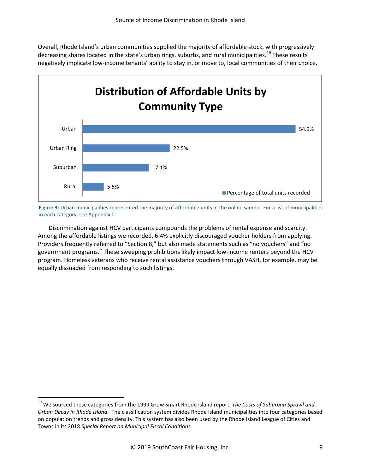Overall, Rhode Island's urban communities supplied the majority of affordable stock, with progressively decreasing shares located in the state's urban rings, suburbs, and rural municipalities.<sup>[19](#page-11-0)</sup> These results negatively implicate low-income tenants' ability to stay in, or move to, local communities of their choice.



**Figure 3:** Urban municipalities represented the majority of affordable units in the online sample. For a list of municipalities in each category, see Appendix C.

Discrimination against HCV participants compounds the problems of rental expense and scarcity. Among the affordable listings we recorded, 6.4% explicitly discouraged voucher holders from applying. Providers frequently referred to "Section 8," but also made statements such as "no vouchers" and "no government programs." These sweeping prohibitions likely impact low-income renters beyond the HCV program. Homeless veterans who receive rental assistance vouchers through VASH, for example, may be equally dissuaded from responding to such listings.

<span id="page-11-0"></span> <sup>19</sup> We sourced these categories from the 1999 Grow Smart Rhode Island report, *The Costs of Suburban Sprawl and Urban Decay in Rhode Island*. The classification system divides Rhode Island municipalities into four categories based on population trends and gross density. This system has also been used by the Rhode Island League of Cities and Towns in its 2018 *Special Report on Municipal Fiscal Conditions*.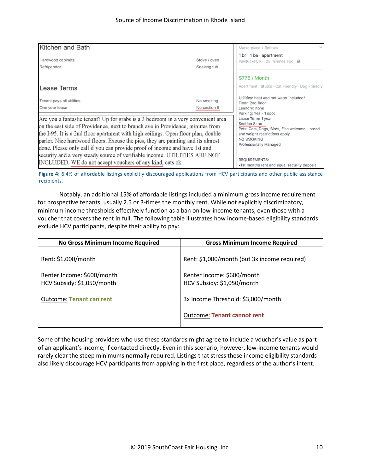| Kitchen and Bath                                                                                                                                                                                                                                                                                                                                                                                                                                                                                                                                                    |                             | Marketplace > Rentals                                                                                                                                                                                                         |
|---------------------------------------------------------------------------------------------------------------------------------------------------------------------------------------------------------------------------------------------------------------------------------------------------------------------------------------------------------------------------------------------------------------------------------------------------------------------------------------------------------------------------------------------------------------------|-----------------------------|-------------------------------------------------------------------------------------------------------------------------------------------------------------------------------------------------------------------------------|
| Hardwood cabinets<br>Refrigerator                                                                                                                                                                                                                                                                                                                                                                                                                                                                                                                                   | Stove / oven<br>Soaking tub | 1 br $\cdot$ 1 ba $\cdot$ apartment<br>Pawtucket, RI $\cdot$ 23 minutes ago $\cdot$ $\odot$                                                                                                                                   |
| Lease Terms                                                                                                                                                                                                                                                                                                                                                                                                                                                                                                                                                         |                             | \$775 / Month<br>Apartment · Studio · Cat Friendly · Dog Friendly                                                                                                                                                             |
| Tenant pays all utilities<br>One year lease                                                                                                                                                                                                                                                                                                                                                                                                                                                                                                                         | No smoking<br>No section 8  | Utilities: heat and hot water included!<br>Floor: 2nd floor<br>Laundry: none<br>Parking: Yes - 1 spot                                                                                                                         |
| Are you a fantastic tenant? Up for grabs is a 3 bedroom in a very convenient area<br>on the east side of Providence, next to branch ave in Providence, minutes from<br>the I-95. It is a 2nd floor apartment with high ceilings. Open floor plan, double<br>parlor. Nice hardwood floors. Excuse the pics, they are painting and its almost<br>done. Please only call if you can provide proof of income and have 1st and<br>security and a very steady source of verifiable income. UTILITIES ARE NOT<br>INCLUDED. WE do not accept vouchers of any kind, cats ok. |                             | Lease Term: 1 year<br>Section 8: no<br>Pets: Cats, Dogs, Birds, Fish welcome - breed<br>and weight restrictions apply<br>NO SMOKING<br>Professionally Managed<br>REQUIREMENTS:<br>•1st months rent and equal security deposit |

Figure 4: 6.4% of affordable listings explicitly discouraged applications from HCV participants and other public assistance recipients.

Notably, an additional 15% of affordable listings included a minimum gross income requirement for prospective tenants, usually 2.5 or 3-times the monthly rent. While not explicitly discriminatory, minimum income thresholds effectively function as a ban on low-income tenants, even those with a voucher that covers the rent in full. The following table illustrates how income-based eligibility standards exclude HCV participants, despite their ability to pay:

| <b>No Gross Minimum Income Required</b>                  | <b>Gross Minimum Income Required</b>                     |
|----------------------------------------------------------|----------------------------------------------------------|
| Rent: \$1,000/month                                      | Rent: \$1,000/month (but 3x income required)             |
| Renter Income: \$600/month<br>HCV Subsidy: \$1,050/month | Renter Income: \$600/month<br>HCV Subsidy: \$1,050/month |
| <b>Outcome: Tenant can rent</b>                          | 3x Income Threshold: \$3,000/month                       |
|                                                          | <b>Outcome: Tenant cannot rent</b>                       |

Some of the housing providers who use these standards might agree to include a voucher's value as part of an applicant's income, if contacted directly. Even in this scenario, however, low-income tenants would rarely clear the steep minimums normally required. Listings that stress these income eligibility standards also likely discourage HCV participants from applying in the first place, regardless of the author's intent.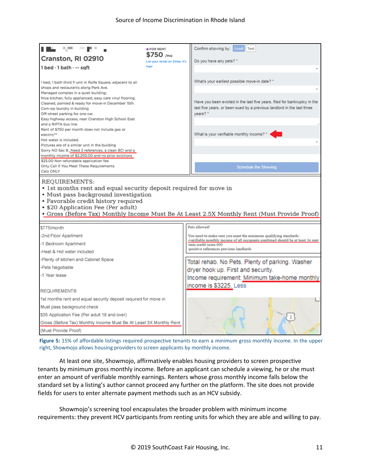| 55                                                                                                                 | <b>• FOR RENT</b>                             | Confirm showing by: Email<br>Text                                                                                                                   |
|--------------------------------------------------------------------------------------------------------------------|-----------------------------------------------|-----------------------------------------------------------------------------------------------------------------------------------------------------|
| Cranston, RI 02910                                                                                                 | \$750 /mo<br>List your rental on Zillow. It's | Do you have any pets? *                                                                                                                             |
| 1 bed · 1 bath · -- sqft                                                                                           | freet                                         |                                                                                                                                                     |
|                                                                                                                    |                                               |                                                                                                                                                     |
| 1 bed, 1 bath third fl unit in Rolfe Square, adjacent to all                                                       |                                               | What's your earliest possible move-in date? *                                                                                                       |
| shops and restaurants along Park Ave.<br>Managed complex in a quiet building;                                      |                                               |                                                                                                                                                     |
| Nice kitchen, fully applianced, easy care vinyl flooring.                                                          |                                               | Have you been evicted in the last five years, filed for bankruptcy in the                                                                           |
| Cleaned, painted & ready for move-in December 15th.<br>Coin-op laundry in building                                 |                                               | last five years, or been sued by a previous landlord in the last three                                                                              |
| Off-street parking for one car.                                                                                    |                                               | vears? *                                                                                                                                            |
| Easy highway access, near Cranston High School East<br>and a RIPTA bus line.                                       |                                               |                                                                                                                                                     |
| Rent of \$750 per month does not include gas or                                                                    |                                               |                                                                                                                                                     |
| electric**                                                                                                         |                                               | What is your verifiable monthly income?                                                                                                             |
| Hot water is included.<br>Pictures are of a similar unit in the building                                           |                                               |                                                                                                                                                     |
| Sorry NO Sec 8Need 2 references, a clean BCI and a                                                                 |                                               |                                                                                                                                                     |
| monthly income of \$2,250.00 and no prior evictions<br>\$25.00 Non refundable application fee                      |                                               |                                                                                                                                                     |
| Only Call If You Meet These Requirements                                                                           |                                               | <b>Schedule the Showing</b>                                                                                                                         |
| Cats ONLY                                                                                                          |                                               |                                                                                                                                                     |
| REQUIREMENTS:<br>• 1st months rent and equal security deposit required for move in                                 |                                               |                                                                                                                                                     |
| • Must pass background investigation<br>• Favorable credit history required<br>• \$20 Application Fee (Per adult)  |                                               | . Gross (Before Tax) Monthly Income Must Be At Least 2.5X Monthly Rent (Must Provide Proof)                                                         |
|                                                                                                                    |                                               | Pets allowed!                                                                                                                                       |
| \$775/month                                                                                                        |                                               |                                                                                                                                                     |
| -2nd Floor Apartment                                                                                               |                                               | You need to make sure you meet the minimum qualifying standards:<br>-verifiable monthly income of all occupants combined should be at least 3x rent |
| -1 Bedroom Apartment                                                                                               |                                               | -min credit score 600<br>-positive references previous landlords                                                                                    |
| -Heat & Hot water included                                                                                         |                                               |                                                                                                                                                     |
| Plenty of kitchen and Cabinet Space                                                                                |                                               | Total rehab. No Pets. Plenty of parking. Washer                                                                                                     |
| Pets Negotiable                                                                                                    |                                               | dryer hook up. First and security.                                                                                                                  |
| -1 Year lease                                                                                                      |                                               | Income requirement: Minimum take-home monthly                                                                                                       |
| <b>REQUIREMENTS:</b>                                                                                               |                                               | income is \$3225. Less                                                                                                                              |
|                                                                                                                    |                                               |                                                                                                                                                     |
| 1st months rent and equal security deposit required for move in                                                    |                                               |                                                                                                                                                     |
| Must pass background check                                                                                         |                                               |                                                                                                                                                     |
| \$35 Application Fee (Per adult 18 and over)<br>Gross (Before Tax) Monthly Income Must Be At Least 3X Monthly Rent |                                               |                                                                                                                                                     |

**Figure 5:** 15% of affordable listings required prospective tenants to earn a minimum gross monthly income. In the upper right, Showmojo allows housing providers to screen applicants by monthly income.

At least one site, Showmojo, affirmatively enables housing providers to screen prospective tenants by minimum gross monthly income. Before an applicant can schedule a viewing, he or she must enter an amount of verifiable monthly earnings. Renters whose gross monthly income falls below the standard set by a listing's author cannot proceed any further on the platform. The site does not provide fields for users to enter alternate payment methods such as an HCV subsidy.

Showmojo's screening tool encapsulates the broader problem with minimum income requirements: they prevent HCV participants from renting units for which they are able and willing to pay.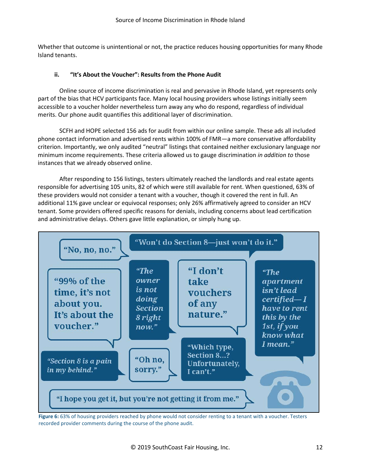Whether that outcome is unintentional or not, the practice reduces housing opportunities for many Rhode Island tenants.

#### **ii. "It's About the Voucher": Results from the Phone Audit**

Online source of income discrimination is real and pervasive in Rhode Island, yet represents only part of the bias that HCV participants face. Many local housing providers whose listings initially seem accessible to a voucher holder nevertheless turn away any who do respond, regardless of individual merits. Our phone audit quantifies this additional layer of discrimination.

SCFH and HOPE selected 156 ads for audit from within our online sample. These ads all included phone contact information and advertised rents within 100% of FMR—a more conservative affordability criterion. Importantly, we only audited "neutral" listings that contained neither exclusionary language nor minimum income requirements. These criteria allowed us to gauge discrimination *in addition to* those instances that we already observed online.

After responding to 156 listings, testers ultimately reached the landlords and real estate agents responsible for advertising 105 units, 82 of which were still available for rent. When questioned, 63% of these providers would not consider a tenant with a voucher, though it covered the rent in full. An additional 11% gave unclear or equivocal responses; only 26% affirmatively agreed to consider an HCV tenant. Some providers offered specific reasons for denials, including concerns about lead certification and administrative delays. Others gave little explanation, or simply hung up.



Figure 6: 63% of housing providers reached by phone would not consider renting to a tenant with a voucher. Testers recorded provider comments during the course of the phone audit.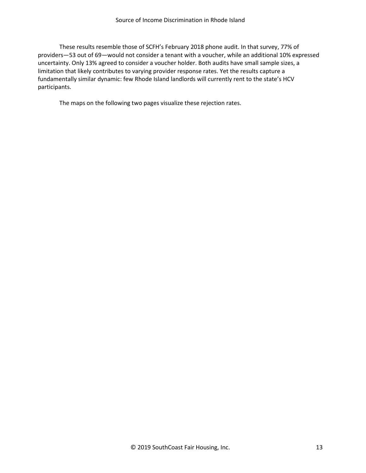These results resemble those of SCFH's February 2018 phone audit. In that survey, 77% of providers—53 out of 69—would not consider a tenant with a voucher, while an additional 10% expressed uncertainty. Only 13% agreed to consider a voucher holder. Both audits have small sample sizes, a limitation that likely contributes to varying provider response rates. Yet the results capture a fundamentally similar dynamic: few Rhode Island landlords will currently rent to the state's HCV participants.

The maps on the following two pages visualize these rejection rates.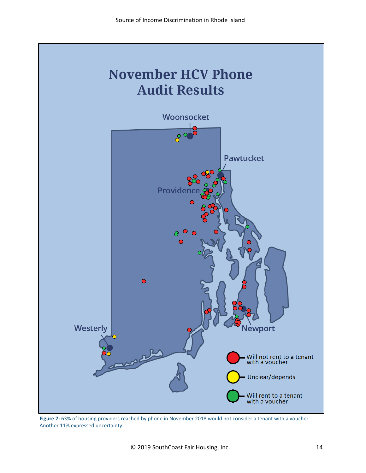

**Figure 7:** 63% of housing providers reached by phone in November 2018 would not consider a tenant with a voucher. Another 11% expressed uncertainty.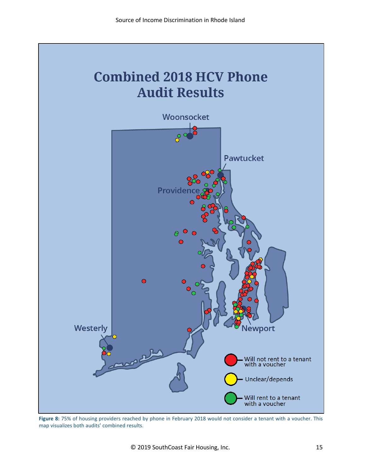

**Figure 8:** 75% of housing providers reached by phone in February 2018 would not consider a tenant with a voucher. This map visualizes both audits' combined results.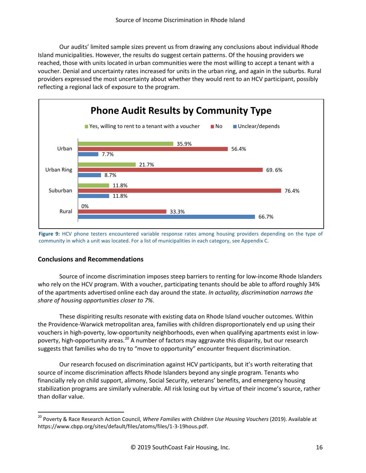Our audits' limited sample sizes prevent us from drawing any conclusions about individual Rhode Island municipalities. However, the results do suggest certain patterns. Of the housing providers we reached, those with units located in urban communities were the most willing to accept a tenant with a voucher. Denial and uncertainty rates increased for units in the urban ring, and again in the suburbs. Rural providers expressed the most uncertainty about whether they would rent to an HCV participant, possibly reflecting a regional lack of exposure to the program.



**Figure 9:** HCV phone testers encountered variable response rates among housing providers depending on the type of community in which a unit was located. For a list of municipalities in each category, see Appendix C.

#### **Conclusions and Recommendations**

Source of income discrimination imposes steep barriers to renting for low-income Rhode Islanders who rely on the HCV program. With a voucher, participating tenants should be able to afford roughly 34% of the apartments advertised online each day around the state. *In actuality, discrimination narrows the share of housing opportunities closer to 7%*.

These dispiriting results resonate with existing data on Rhode Island voucher outcomes. Within the Providence-Warwick metropolitan area, families with children disproportionately end up using their vouchers in high-poverty, low-opportunity neighborhoods, even when qualifying apartments exist in low-poverty, high-opportunity areas.<sup>[20](#page-18-0)</sup> A number of factors may aggravate this disparity, but our research suggests that families who do try to "move to opportunity" encounter frequent discrimination.

Our research focused on discrimination against HCV participants, but it's worth reiterating that source of income discrimination affects Rhode Islanders beyond any single program. Tenants who financially rely on child support, alimony, Social Security, veterans' benefits, and emergency housing stabilization programs are similarly vulnerable. All risk losing out by virtue of their income's source, rather than dollar value.

<span id="page-18-0"></span> <sup>20</sup> Poverty & Race Research Action Council, *Where Families with Children Use Housing Vouchers* (2019). Available at https://www.cbpp.org/sites/default/files/atoms/files/1-3-19hous.pdf.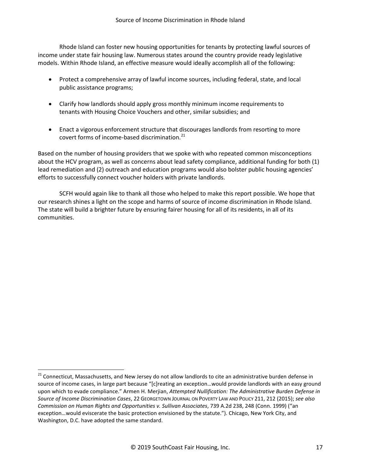Rhode Island can foster new housing opportunities for tenants by protecting lawful sources of income under state fair housing law. Numerous states around the country provide ready legislative models. Within Rhode Island, an effective measure would ideally accomplish all of the following:

- Protect a comprehensive array of lawful income sources, including federal, state, and local public assistance programs;
- Clarify how landlords should apply gross monthly minimum income requirements to tenants with Housing Choice Vouchers and other, similar subsidies; and
- Enact a vigorous enforcement structure that discourages landlords from resorting to more covert forms of income-based discrimination. [21](#page-19-0)

Based on the number of housing providers that we spoke with who repeated common misconceptions about the HCV program, as well as concerns about lead safety compliance, additional funding for both (1) lead remediation and (2) outreach and education programs would also bolster public housing agencies' efforts to successfully connect voucher holders with private landlords.

SCFH would again like to thank all those who helped to make this report possible. We hope that our research shines a light on the scope and harms of source of income discrimination in Rhode Island. The state will build a brighter future by ensuring fairer housing for all of its residents, in all of its communities.

<span id="page-19-0"></span><sup>&</sup>lt;sup>21</sup> Connecticut, Massachusetts, and New Jersey do not allow landlords to cite an administrative burden defense in source of income cases, in large part because "[c]reating an exception…would provide landlords with an easy ground upon which to evade compliance." Armen H. Merjian, *Attempted Nullification: The Administrative Burden Defense in Source of Income Discrimination Cases*, 22 GEORGETOWN JOURNAL ON POVERTY LAW AND POLICY 211, 212 (2015); *see also Commission on Human Rights and Opportunities v. Sullivan Associates*, 739 A.2d 238, 248 (Conn. 1999) ("an exception…would eviscerate the basic protection envisioned by the statute."). Chicago, New York City, and Washington, D.C. have adopted the same standard.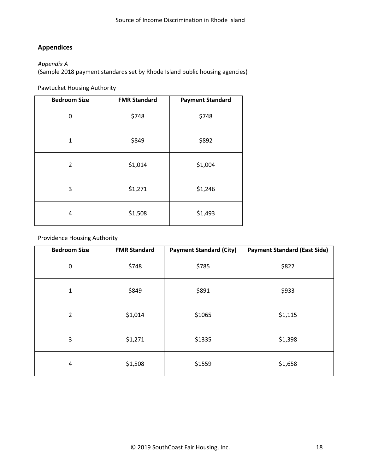# **Appendices**

#### *Appendix A*

(Sample 2018 payment standards set by Rhode Island public housing agencies)

Pawtucket Housing Authority

| <b>Bedroom Size</b> | <b>FMR Standard</b> | <b>Payment Standard</b> |
|---------------------|---------------------|-------------------------|
| 0                   | \$748               | \$748                   |
| $\mathbf{1}$        | \$849               | \$892                   |
| $\overline{2}$      | \$1,014             | \$1,004                 |
| 3                   | \$1,271             | \$1,246                 |
| 4                   | \$1,508             | \$1,493                 |

Providence Housing Authority

| <b>Bedroom Size</b>     | <b>FMR Standard</b> | <b>Payment Standard (City)</b> | <b>Payment Standard (East Side)</b> |
|-------------------------|---------------------|--------------------------------|-------------------------------------|
| $\boldsymbol{0}$        | \$748               | \$785                          | \$822                               |
| $\mathbf 1$             | \$849               | \$891                          | \$933                               |
| $\overline{2}$          | \$1,014             | \$1065                         | \$1,115                             |
| 3                       | \$1,271             | \$1335                         | \$1,398                             |
| $\overline{\mathbf{4}}$ | \$1,508             | \$1559                         | \$1,658                             |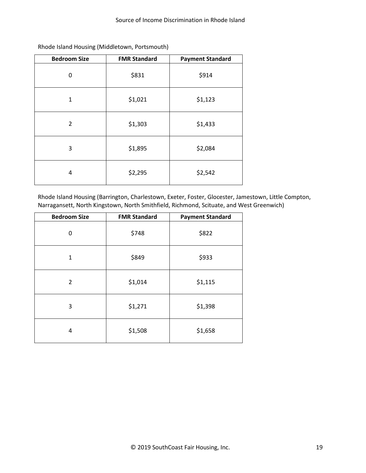| <b>Bedroom Size</b> | <b>FMR Standard</b> | <b>Payment Standard</b> |
|---------------------|---------------------|-------------------------|
| 0                   | \$831               | \$914                   |
| 1                   | \$1,021             | \$1,123                 |
| $\overline{2}$      | \$1,303             | \$1,433                 |
| 3                   | \$1,895             | \$2,084                 |
| 4                   | \$2,295             | \$2,542                 |

Rhode Island Housing (Middletown, Portsmouth)

Rhode Island Housing (Barrington, Charlestown, Exeter, Foster, Glocester, Jamestown, Little Compton, Narragansett, North Kingstown, North Smithfield, Richmond, Scituate, and West Greenwich)

| <b>Bedroom Size</b> | <b>FMR Standard</b> | <b>Payment Standard</b> |
|---------------------|---------------------|-------------------------|
| 0                   | \$748               | \$822                   |
| $\mathbf{1}$        | \$849               | \$933                   |
| 2                   | \$1,014             | \$1,115                 |
| 3                   | \$1,271             | \$1,398                 |
| 4                   | \$1,508             | \$1,658                 |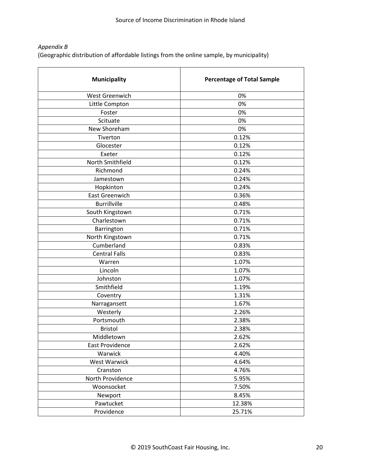## *Appendix B*

(Geographic distribution of affordable listings from the online sample, by municipality)

| <b>Municipality</b>  | <b>Percentage of Total Sample</b> |
|----------------------|-----------------------------------|
| West Greenwich       | 0%                                |
| Little Compton       | 0%                                |
| Foster               | 0%                                |
| Scituate             | 0%                                |
| New Shoreham         | 0%                                |
| Tiverton             | 0.12%                             |
| Glocester            | 0.12%                             |
| Exeter               | 0.12%                             |
| North Smithfield     | 0.12%                             |
| Richmond             | 0.24%                             |
| Jamestown            | 0.24%                             |
| Hopkinton            | 0.24%                             |
| East Greenwich       | 0.36%                             |
| <b>Burrillville</b>  | 0.48%                             |
| South Kingstown      | 0.71%                             |
| Charlestown          | 0.71%                             |
| Barrington           | 0.71%                             |
| North Kingstown      | 0.71%                             |
| Cumberland           | 0.83%                             |
| <b>Central Falls</b> | 0.83%                             |
| Warren               | 1.07%                             |
| Lincoln              | 1.07%                             |
| Johnston             | 1.07%                             |
| Smithfield           | 1.19%                             |
| Coventry             | 1.31%                             |
| Narragansett         | 1.67%                             |
| Westerly             | 2.26%                             |
| Portsmouth           | 2.38%                             |
| <b>Bristol</b>       | 2.38%                             |
| Middletown           | 2.62%                             |
| East Providence      | 2.62%                             |
| Warwick              | 4.40%                             |
| West Warwick         | 4.64%                             |
| Cranston             | 4.76%                             |
| North Providence     | 5.95%                             |
| Woonsocket           | 7.50%                             |
| Newport              | 8.45%                             |
| Pawtucket            | 12.38%                            |
| Providence           | 25.71%                            |